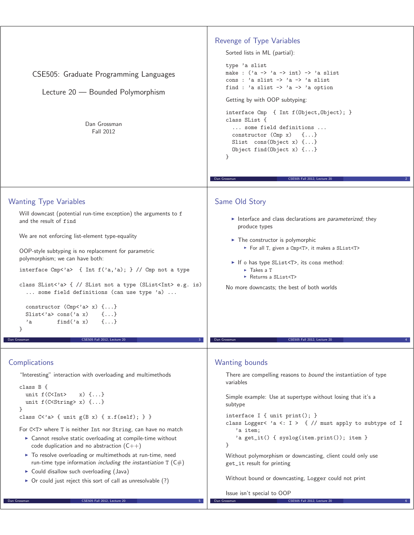| CSE505: Graduate Programming Languages<br>Lecture 20 - Bounded Polymorphism<br>Dan Grossman<br>Fall 2012                                                            | Revenge of Type Variables<br>Sorted lists in ML (partial):<br>type 'a slist<br>make : $(\lambda a \rightarrow \lambda a \rightarrow \lambda)$ -> $\lambda$ a slist<br>cons : 'a slist -> 'a -> 'a slist<br>find : 'a slist $\rightarrow$ 'a $\rightarrow$ 'a option<br>Getting by with OOP subtyping:<br>interface Cmp { Int f(Object, Object); }<br>class SList {<br>some field definitions<br>constructor $(\text{Cmp } x)$ $\{ \ldots \}$<br>Slist $cons(Object x) \{ \}$<br>Object find (Object $x$ ) $\{ \ldots \}$<br>}<br>CSE505 Fall 2012, Lecture 20<br>Dan Grossman |
|---------------------------------------------------------------------------------------------------------------------------------------------------------------------|-------------------------------------------------------------------------------------------------------------------------------------------------------------------------------------------------------------------------------------------------------------------------------------------------------------------------------------------------------------------------------------------------------------------------------------------------------------------------------------------------------------------------------------------------------------------------------|
| <b>Wanting Type Variables</b><br>Will downcast (potential run-time exception) the arguments to f                                                                    | Same Old Story                                                                                                                                                                                                                                                                                                                                                                                                                                                                                                                                                                |
| and the result of find                                                                                                                                              | Interface and class declarations are parameterized; they<br>produce types                                                                                                                                                                                                                                                                                                                                                                                                                                                                                                     |
| We are not enforcing list-element type-equality                                                                                                                     | $\blacktriangleright$ The constructor is polymorphic<br>For all T, given a Cmp <t>, it makes a SList<t></t></t>                                                                                                                                                                                                                                                                                                                                                                                                                                                               |
| OOP-style subtyping is no replacement for parametric<br>polymorphism; we can have both:                                                                             | If o has type SList <t>, its cons method:</t>                                                                                                                                                                                                                                                                                                                                                                                                                                                                                                                                 |
| interface Cmp<'a> { Int $f('a,'a)$ ; } // Cmp not a type                                                                                                            | $\triangleright$ Takes a T<br>► Returns a SList <t></t>                                                                                                                                                                                                                                                                                                                                                                                                                                                                                                                       |
| class SList<'a> { // SList not a type (SList <int> e.g. is)<br/> some field definitions (can use type 'a) </int>                                                    | No more downcasts; the best of both worlds                                                                                                                                                                                                                                                                                                                                                                                                                                                                                                                                    |
| constructor $(Cmp2a> x)$ {}<br>Slist<'a> $cons('a x)$<br>$\{ \ldots \}$<br>find $('a x)$<br>'a<br>$\{\ldots\}$                                                      |                                                                                                                                                                                                                                                                                                                                                                                                                                                                                                                                                                               |
| Dan Grossman<br>CSE505 Fall 2012, Lecture 20                                                                                                                        | CSE505 Fall 2012, Lecture 20<br>Dan Grossman                                                                                                                                                                                                                                                                                                                                                                                                                                                                                                                                  |
| Complications                                                                                                                                                       | <b>Wanting bounds</b>                                                                                                                                                                                                                                                                                                                                                                                                                                                                                                                                                         |
| "Interesting" interaction with overloading and multimethods                                                                                                         | There are compelling reasons to bound the instantiation of type<br>variables                                                                                                                                                                                                                                                                                                                                                                                                                                                                                                  |
| class $B \{$<br>unit $f$ (C <int><br/><math>x) \{ \}</math><br/>unit <math>f(C &lt;</math>String&gt; x) <math>\{ \ldots \}</math></int>                             | Simple example: Use at supertype without losing that it's a<br>subtype                                                                                                                                                                                                                                                                                                                                                                                                                                                                                                        |
| }<br>class $C$ <'a> { unit $g(B x)$ { $x.f(self);$ } }                                                                                                              | interface I { unit print(); }                                                                                                                                                                                                                                                                                                                                                                                                                                                                                                                                                 |
| For C <t> where T is neither Int nor String, can have no match<br/>• Cannot resolve static overloading at compile-time without</t>                                  | class Logger< $a \leq i \geq \{ \}/$ must apply to subtype of I<br>'a item;                                                                                                                                                                                                                                                                                                                                                                                                                                                                                                   |
| code duplication and no abstraction $(C++)$                                                                                                                         | }                                                                                                                                                                                                                                                                                                                                                                                                                                                                                                                                                                             |
| To resolve overloading or multimethods at run-time, need<br>run-time type information including the instantiation $T(C#)$<br>Could disallow such overloading (Java) | Without polymorphism or downcasting, client could only use<br>get_it result for printing                                                                                                                                                                                                                                                                                                                                                                                                                                                                                      |
| $\triangleright$ Or could just reject this sort of call as unresolvable (?)                                                                                         | Without bound or downcasting, Logger could not print                                                                                                                                                                                                                                                                                                                                                                                                                                                                                                                          |
| CSE505 Fall 2012, Lecture 20<br>Dan Grossman                                                                                                                        | Issue isn't special to OOP<br>Dan Grossman<br>CSE505 Fall 2012, Lecture 20                                                                                                                                                                                                                                                                                                                                                                                                                                                                                                    |